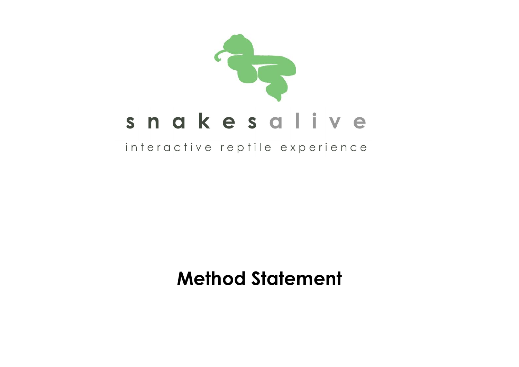

## interactive reptile experience

# **Method Statement**